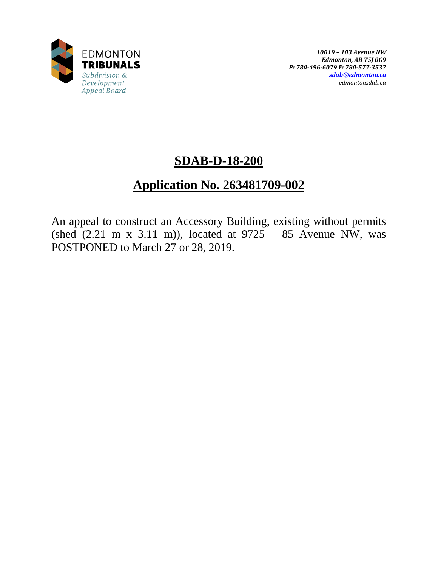

# **SDAB-D-18-200**

# **Application No. 263481709-002**

An appeal to construct an Accessory Building, existing without permits (shed  $(2.21 \text{ m x } 3.11 \text{ m})$ ), located at  $9725 - 85$  Avenue NW, was POSTPONED to March 27 or 28, 2019.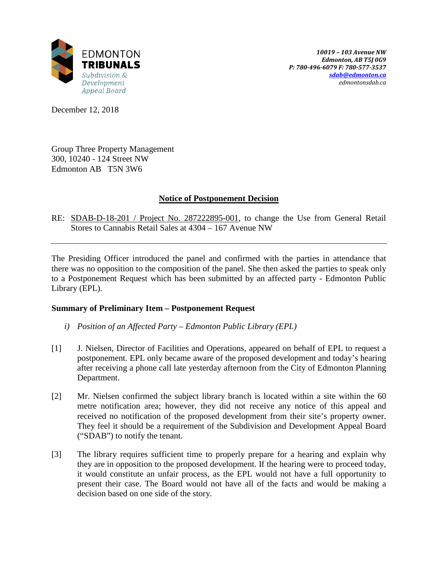

December 12, 2018

Group Three Property Management 300, 10240 - 124 Street NW Edmonton AB T5N 3W6

## **Notice of Postponement Decision**

RE: SDAB-D-18-201 / Project No. 287222895-001, to change the Use from General Retail Stores to Cannabis Retail Sales at 4304 – 167 Avenue NW

The Presiding Officer introduced the panel and confirmed with the parties in attendance that there was no opposition to the composition of the panel. She then asked the parties to speak only to a Postponement Request which has been submitted by an affected party - Edmonton Public Library (EPL).

## **Summary of Preliminary Item – Postponement Request**

- *i) Position of an Affected Party – Edmonton Public Library (EPL)*
- [1] J. Nielsen, Director of Facilities and Operations, appeared on behalf of EPL to request a postponement. EPL only became aware of the proposed development and today's hearing after receiving a phone call late yesterday afternoon from the City of Edmonton Planning Department.
- [2] Mr. Nielsen confirmed the subject library branch is located within a site within the 60 metre notification area; however, they did not receive any notice of this appeal and received no notification of the proposed development from their site's property owner. They feel it should be a requirement of the Subdivision and Development Appeal Board ("SDAB") to notify the tenant.
- [3] The library requires sufficient time to properly prepare for a hearing and explain why they are in opposition to the proposed development. If the hearing were to proceed today, it would constitute an unfair process, as the EPL would not have a full opportunity to present their case. The Board would not have all of the facts and would be making a decision based on one side of the story.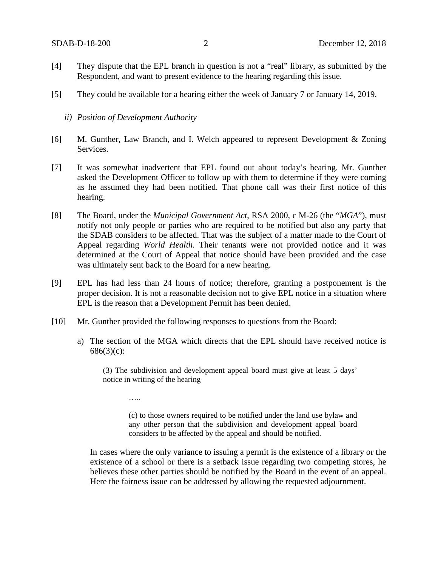- [4] They dispute that the EPL branch in question is not a "real" library, as submitted by the Respondent, and want to present evidence to the hearing regarding this issue.
- [5] They could be available for a hearing either the week of January 7 or January 14, 2019.
	- *ii) Position of Development Authority*

……

- [6] M. Gunther, Law Branch, and I. Welch appeared to represent Development & Zoning Services.
- [7] It was somewhat inadvertent that EPL found out about today's hearing. Mr. Gunther asked the Development Officer to follow up with them to determine if they were coming as he assumed they had been notified. That phone call was their first notice of this hearing.
- [8] The Board, under the *Municipal Government Act*, RSA 2000, c M-26 (the "*MGA*"), must notify not only people or parties who are required to be notified but also any party that the SDAB considers to be affected. That was the subject of a matter made to the Court of Appeal regarding *World Health*. Their tenants were not provided notice and it was determined at the Court of Appeal that notice should have been provided and the case was ultimately sent back to the Board for a new hearing.
- [9] EPL has had less than 24 hours of notice; therefore, granting a postponement is the proper decision. It is not a reasonable decision not to give EPL notice in a situation where EPL is the reason that a Development Permit has been denied.
- [10] Mr. Gunther provided the following responses to questions from the Board:
	- a) The section of the MGA which directs that the EPL should have received notice is  $686(3)(c)$ :

(3) The subdivision and development appeal board must give at least 5 days' notice in writing of the hearing

(c) to those owners required to be notified under the land use bylaw and any other person that the subdivision and development appeal board considers to be affected by the appeal and should be notified.

In cases where the only variance to issuing a permit is the existence of a library or the existence of a school or there is a setback issue regarding two competing stores, he believes these other parties should be notified by the Board in the event of an appeal. Here the fairness issue can be addressed by allowing the requested adjournment.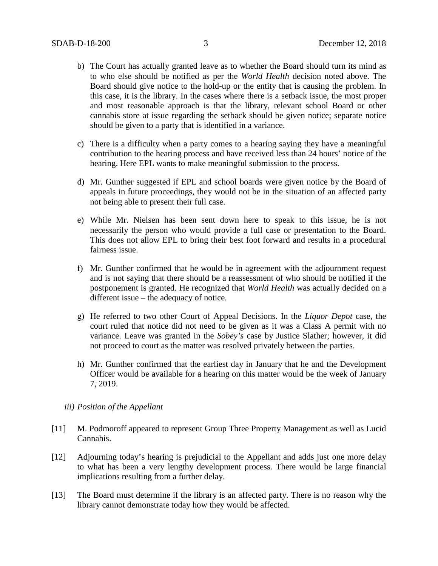- b) The Court has actually granted leave as to whether the Board should turn its mind as to who else should be notified as per the *World Health* decision noted above. The Board should give notice to the hold-up or the entity that is causing the problem. In this case, it is the library. In the cases where there is a setback issue, the most proper and most reasonable approach is that the library, relevant school Board or other cannabis store at issue regarding the setback should be given notice; separate notice should be given to a party that is identified in a variance.
- c) There is a difficulty when a party comes to a hearing saying they have a meaningful contribution to the hearing process and have received less than 24 hours' notice of the hearing. Here EPL wants to make meaningful submission to the process.
- d) Mr. Gunther suggested if EPL and school boards were given notice by the Board of appeals in future proceedings, they would not be in the situation of an affected party not being able to present their full case.
- e) While Mr. Nielsen has been sent down here to speak to this issue, he is not necessarily the person who would provide a full case or presentation to the Board. This does not allow EPL to bring their best foot forward and results in a procedural fairness issue.
- f) Mr. Gunther confirmed that he would be in agreement with the adjournment request and is not saying that there should be a reassessment of who should be notified if the postponement is granted. He recognized that *World Health* was actually decided on a different issue – the adequacy of notice.
- g) He referred to two other Court of Appeal Decisions. In the *Liquor Depot* case, the court ruled that notice did not need to be given as it was a Class A permit with no variance. Leave was granted in the *Sobey's* case by Justice Slather; however, it did not proceed to court as the matter was resolved privately between the parties.
- h) Mr. Gunther confirmed that the earliest day in January that he and the Development Officer would be available for a hearing on this matter would be the week of January 7, 2019.
- *iii) Position of the Appellant*
- [11] M. Podmoroff appeared to represent Group Three Property Management as well as Lucid Cannabis.
- [12] Adjourning today's hearing is prejudicial to the Appellant and adds just one more delay to what has been a very lengthy development process. There would be large financial implications resulting from a further delay.
- [13] The Board must determine if the library is an affected party. There is no reason why the library cannot demonstrate today how they would be affected.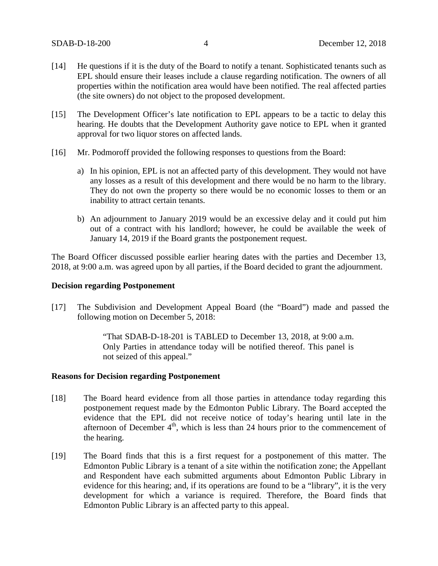- [14] He questions if it is the duty of the Board to notify a tenant. Sophisticated tenants such as EPL should ensure their leases include a clause regarding notification. The owners of all properties within the notification area would have been notified. The real affected parties (the site owners) do not object to the proposed development.
- [15] The Development Officer's late notification to EPL appears to be a tactic to delay this hearing. He doubts that the Development Authority gave notice to EPL when it granted approval for two liquor stores on affected lands.
- [16] Mr. Podmoroff provided the following responses to questions from the Board:
	- a) In his opinion, EPL is not an affected party of this development. They would not have any losses as a result of this development and there would be no harm to the library. They do not own the property so there would be no economic losses to them or an inability to attract certain tenants.
	- b) An adjournment to January 2019 would be an excessive delay and it could put him out of a contract with his landlord; however, he could be available the week of January 14, 2019 if the Board grants the postponement request.

The Board Officer discussed possible earlier hearing dates with the parties and December 13, 2018, at 9:00 a.m. was agreed upon by all parties, if the Board decided to grant the adjournment.

#### **Decision regarding Postponement**

[17] The Subdivision and Development Appeal Board (the "Board") made and passed the following motion on December 5, 2018:

> "That SDAB-D-18-201 is TABLED to December 13, 2018, at 9:00 a.m. Only Parties in attendance today will be notified thereof. This panel is not seized of this appeal."

## **Reasons for Decision regarding Postponement**

- [18] The Board heard evidence from all those parties in attendance today regarding this postponement request made by the Edmonton Public Library. The Board accepted the evidence that the EPL did not receive notice of today's hearing until late in the afternoon of December  $4<sup>th</sup>$ , which is less than 24 hours prior to the commencement of the hearing.
- [19] The Board finds that this is a first request for a postponement of this matter. The Edmonton Public Library is a tenant of a site within the notification zone; the Appellant and Respondent have each submitted arguments about Edmonton Public Library in evidence for this hearing; and, if its operations are found to be a "library", it is the very development for which a variance is required. Therefore, the Board finds that Edmonton Public Library is an affected party to this appeal.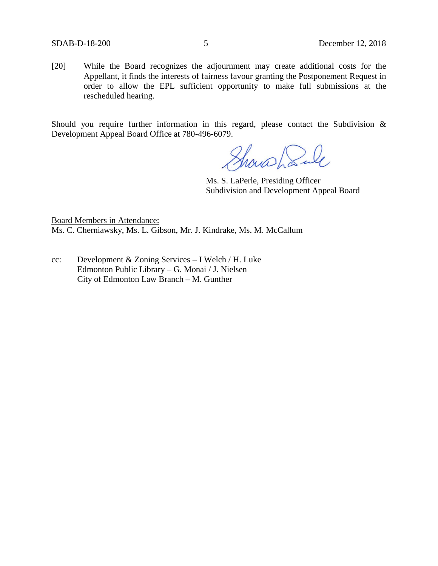[20] While the Board recognizes the adjournment may create additional costs for the Appellant, it finds the interests of fairness favour granting the Postponement Request in order to allow the EPL sufficient opportunity to make full submissions at the rescheduled hearing.

Should you require further information in this regard, please contact the Subdivision & Development Appeal Board Office at 780-496-6079.

Showshank

Ms. S. LaPerle, Presiding Officer Subdivision and Development Appeal Board

Board Members in Attendance: Ms. C. Cherniawsky, Ms. L. Gibson, Mr. J. Kindrake, Ms. M. McCallum

cc: Development & Zoning Services – I Welch / H. Luke Edmonton Public Library – G. Monai / J. Nielsen City of Edmonton Law Branch – M. Gunther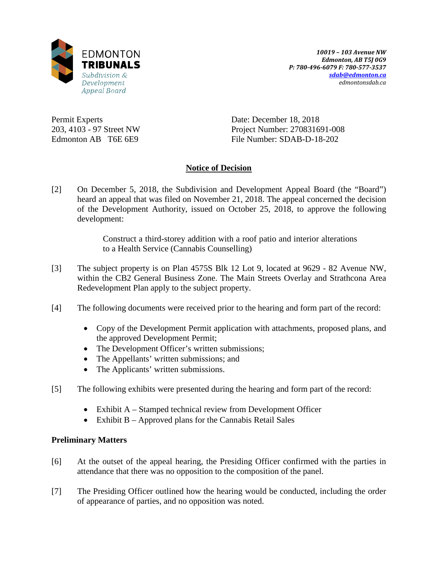

Permit Experts 203, 4103 - 97 Street NW Edmonton AB T6E 6E9

Date: December 18, 2018 Project Number: 270831691-008 File Number: SDAB-D-18-202

## **Notice of Decision**

[2] On December 5, 2018, the Subdivision and Development Appeal Board (the "Board") heard an appeal that was filed on November 21, 2018. The appeal concerned the decision of the Development Authority, issued on October 25, 2018, to approve the following development:

> Construct a third-storey addition with a roof patio and interior alterations to a Health Service (Cannabis Counselling)

- [3] The subject property is on Plan 4575S Blk 12 Lot 9, located at 9629 82 Avenue NW, within the CB2 General Business Zone. The Main Streets Overlay and Strathcona Area Redevelopment Plan apply to the subject property.
- [4] The following documents were received prior to the hearing and form part of the record:
	- Copy of the Development Permit application with attachments, proposed plans, and the approved Development Permit;
	- The Development Officer's written submissions;
	- The Appellants' written submissions; and
	- The Applicants' written submissions.
- [5] The following exhibits were presented during the hearing and form part of the record:
	- Exhibit A Stamped technical review from Development Officer
	- Exhibit B Approved plans for the Cannabis Retail Sales

## **Preliminary Matters**

- [6] At the outset of the appeal hearing, the Presiding Officer confirmed with the parties in attendance that there was no opposition to the composition of the panel.
- [7] The Presiding Officer outlined how the hearing would be conducted, including the order of appearance of parties, and no opposition was noted.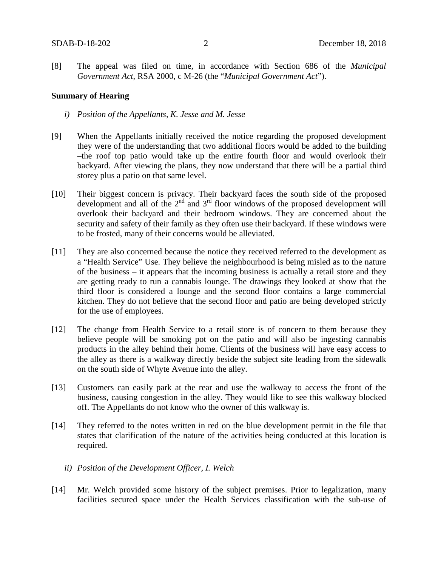[8] The appeal was filed on time, in accordance with Section 686 of the *Municipal Government Act*, RSA 2000, c M-26 (the "*Municipal Government Act*").

#### **Summary of Hearing**

- *i) Position of the Appellants, K. Jesse and M. Jesse*
- [9] When the Appellants initially received the notice regarding the proposed development they were of the understanding that two additional floors would be added to the building –the roof top patio would take up the entire fourth floor and would overlook their backyard. After viewing the plans, they now understand that there will be a partial third storey plus a patio on that same level.
- [10] Their biggest concern is privacy. Their backyard faces the south side of the proposed development and all of the  $2<sup>nd</sup>$  and  $3<sup>rd</sup>$  floor windows of the proposed development will overlook their backyard and their bedroom windows. They are concerned about the security and safety of their family as they often use their backyard. If these windows were to be frosted, many of their concerns would be alleviated.
- [11] They are also concerned because the notice they received referred to the development as a "Health Service" Use. They believe the neighbourhood is being misled as to the nature of the business – it appears that the incoming business is actually a retail store and they are getting ready to run a cannabis lounge. The drawings they looked at show that the third floor is considered a lounge and the second floor contains a large commercial kitchen. They do not believe that the second floor and patio are being developed strictly for the use of employees.
- [12] The change from Health Service to a retail store is of concern to them because they believe people will be smoking pot on the patio and will also be ingesting cannabis products in the alley behind their home. Clients of the business will have easy access to the alley as there is a walkway directly beside the subject site leading from the sidewalk on the south side of Whyte Avenue into the alley.
- [13] Customers can easily park at the rear and use the walkway to access the front of the business, causing congestion in the alley. They would like to see this walkway blocked off. The Appellants do not know who the owner of this walkway is.
- [14] They referred to the notes written in red on the blue development permit in the file that states that clarification of the nature of the activities being conducted at this location is required.
	- *ii) Position of the Development Officer, I. Welch*
- [14] Mr. Welch provided some history of the subject premises. Prior to legalization, many facilities secured space under the Health Services classification with the sub-use of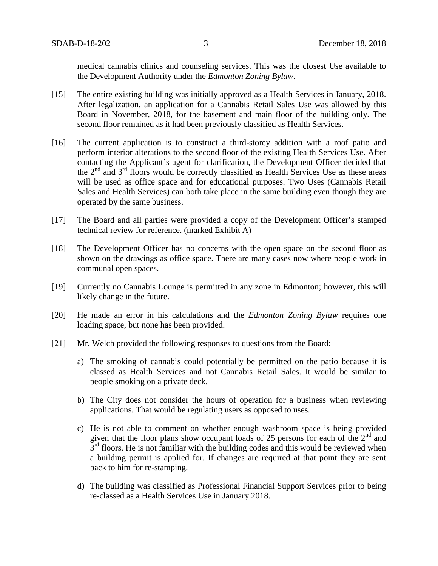medical cannabis clinics and counseling services. This was the closest Use available to the Development Authority under the *Edmonton Zoning Bylaw*.

- [15] The entire existing building was initially approved as a Health Services in January, 2018. After legalization, an application for a Cannabis Retail Sales Use was allowed by this Board in November, 2018, for the basement and main floor of the building only. The second floor remained as it had been previously classified as Health Services.
- [16] The current application is to construct a third-storey addition with a roof patio and perform interior alterations to the second floor of the existing Health Services Use. After contacting the Applicant's agent for clarification, the Development Officer decided that the  $2<sup>nd</sup>$  and  $3<sup>rd</sup>$  floors would be correctly classified as Health Services Use as these areas will be used as office space and for educational purposes. Two Uses (Cannabis Retail Sales and Health Services) can both take place in the same building even though they are operated by the same business.
- [17] The Board and all parties were provided a copy of the Development Officer's stamped technical review for reference. (marked Exhibit A)
- [18] The Development Officer has no concerns with the open space on the second floor as shown on the drawings as office space. There are many cases now where people work in communal open spaces.
- [19] Currently no Cannabis Lounge is permitted in any zone in Edmonton; however, this will likely change in the future.
- [20] He made an error in his calculations and the *Edmonton Zoning Bylaw* requires one loading space, but none has been provided.
- [21] Mr. Welch provided the following responses to questions from the Board:
	- a) The smoking of cannabis could potentially be permitted on the patio because it is classed as Health Services and not Cannabis Retail Sales. It would be similar to people smoking on a private deck.
	- b) The City does not consider the hours of operation for a business when reviewing applications. That would be regulating users as opposed to uses.
	- c) He is not able to comment on whether enough washroom space is being provided given that the floor plans show occupant loads of 25 persons for each of the  $2<sup>nd</sup>$  and  $3<sup>rd</sup>$  floors. He is not familiar with the building codes and this would be reviewed when a building permit is applied for. If changes are required at that point they are sent back to him for re-stamping.
	- d) The building was classified as Professional Financial Support Services prior to being re-classed as a Health Services Use in January 2018.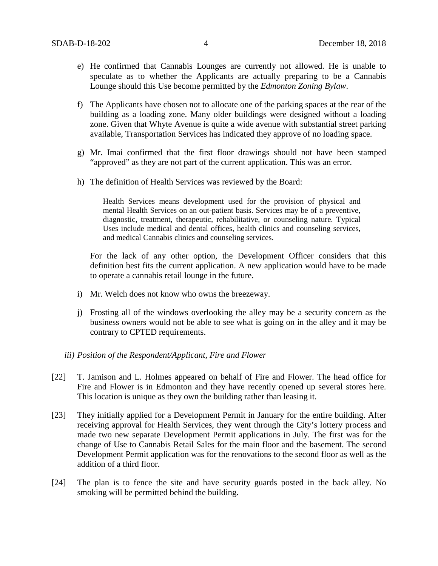- e) He confirmed that Cannabis Lounges are currently not allowed. He is unable to speculate as to whether the Applicants are actually preparing to be a Cannabis Lounge should this Use become permitted by the *Edmonton Zoning Bylaw*.
- f) The Applicants have chosen not to allocate one of the parking spaces at the rear of the building as a loading zone. Many older buildings were designed without a loading zone. Given that Whyte Avenue is quite a wide avenue with substantial street parking available, Transportation Services has indicated they approve of no loading space.
- g) Mr. Imai confirmed that the first floor drawings should not have been stamped "approved" as they are not part of the current application. This was an error.
- h) The definition of Health Services was reviewed by the Board:

Health Services means development used for the provision of physical and mental Health Services on an out-patient basis. Services may be of a preventive, diagnostic, treatment, therapeutic, rehabilitative, or counseling nature. Typical Uses include medical and dental offices, health clinics and counseling services, and medical Cannabis clinics and counseling services.

For the lack of any other option, the Development Officer considers that this definition best fits the current application. A new application would have to be made to operate a cannabis retail lounge in the future.

- i) Mr. Welch does not know who owns the breezeway.
- j) Frosting all of the windows overlooking the alley may be a security concern as the business owners would not be able to see what is going on in the alley and it may be contrary to CPTED requirements.

#### *iii) Position of the Respondent/Applicant, Fire and Flower*

- [22] T. Jamison and L. Holmes appeared on behalf of Fire and Flower. The head office for Fire and Flower is in Edmonton and they have recently opened up several stores here. This location is unique as they own the building rather than leasing it.
- [23] They initially applied for a Development Permit in January for the entire building. After receiving approval for Health Services, they went through the City's lottery process and made two new separate Development Permit applications in July. The first was for the change of Use to Cannabis Retail Sales for the main floor and the basement. The second Development Permit application was for the renovations to the second floor as well as the addition of a third floor.
- [24] The plan is to fence the site and have security guards posted in the back alley. No smoking will be permitted behind the building.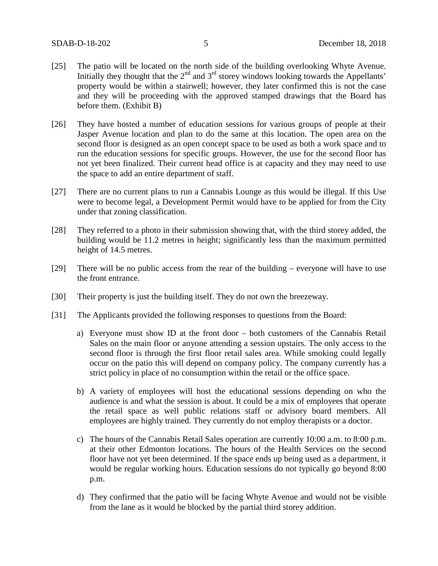- [25] The patio will be located on the north side of the building overlooking Whyte Avenue. Initially they thought that the  $2<sup>nd</sup>$  and  $3<sup>rd</sup>$  storey windows looking towards the Appellants' property would be within a stairwell; however, they later confirmed this is not the case and they will be proceeding with the approved stamped drawings that the Board has before them. (Exhibit B)
- [26] They have hosted a number of education sessions for various groups of people at their Jasper Avenue location and plan to do the same at this location. The open area on the second floor is designed as an open concept space to be used as both a work space and to run the education sessions for specific groups. However, the use for the second floor has not yet been finalized. Their current head office is at capacity and they may need to use the space to add an entire department of staff.
- [27] There are no current plans to run a Cannabis Lounge as this would be illegal. If this Use were to become legal, a Development Permit would have to be applied for from the City under that zoning classification.
- [28] They referred to a photo in their submission showing that, with the third storey added, the building would be 11.2 metres in height; significantly less than the maximum permitted height of 14.5 metres.
- [29] There will be no public access from the rear of the building everyone will have to use the front entrance.
- [30] Their property is just the building itself. They do not own the breezeway.
- [31] The Applicants provided the following responses to questions from the Board:
	- a) Everyone must show ID at the front door both customers of the Cannabis Retail Sales on the main floor or anyone attending a session upstairs. The only access to the second floor is through the first floor retail sales area. While smoking could legally occur on the patio this will depend on company policy. The company currently has a strict policy in place of no consumption within the retail or the office space.
	- b) A variety of employees will host the educational sessions depending on who the audience is and what the session is about. It could be a mix of employees that operate the retail space as well public relations staff or advisory board members. All employees are highly trained. They currently do not employ therapists or a doctor.
	- c) The hours of the Cannabis Retail Sales operation are currently 10:00 a.m. to 8:00 p.m. at their other Edmonton locations. The hours of the Health Services on the second floor have not yet been determined. If the space ends up being used as a department, it would be regular working hours. Education sessions do not typically go beyond 8:00 p.m.
	- d) They confirmed that the patio will be facing Whyte Avenue and would not be visible from the lane as it would be blocked by the partial third storey addition.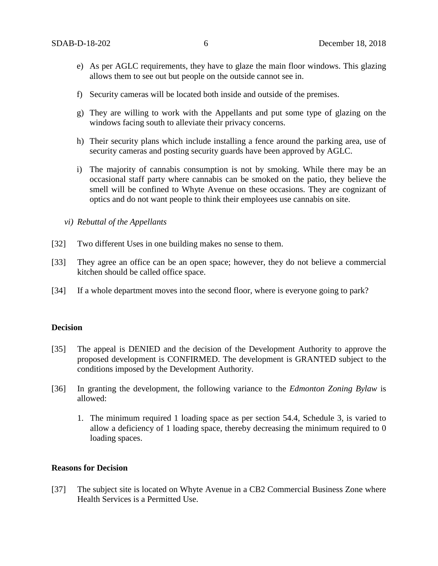- e) As per AGLC requirements, they have to glaze the main floor windows. This glazing allows them to see out but people on the outside cannot see in.
- f) Security cameras will be located both inside and outside of the premises.
- g) They are willing to work with the Appellants and put some type of glazing on the windows facing south to alleviate their privacy concerns.
- h) Their security plans which include installing a fence around the parking area, use of security cameras and posting security guards have been approved by AGLC.
- i) The majority of cannabis consumption is not by smoking. While there may be an occasional staff party where cannabis can be smoked on the patio, they believe the smell will be confined to Whyte Avenue on these occasions. They are cognizant of optics and do not want people to think their employees use cannabis on site.
- *vi) Rebuttal of the Appellants*
- [32] Two different Uses in one building makes no sense to them.
- [33] They agree an office can be an open space; however, they do not believe a commercial kitchen should be called office space.
- [34] If a whole department moves into the second floor, where is everyone going to park?

#### **Decision**

- [35] The appeal is DENIED and the decision of the Development Authority to approve the proposed development is CONFIRMED. The development is GRANTED subject to the conditions imposed by the Development Authority.
- [36] In granting the development, the following variance to the *Edmonton Zoning Bylaw* is allowed:
	- 1. The minimum required 1 loading space as per section 54.4, Schedule 3, is varied to allow a deficiency of 1 loading space, thereby decreasing the minimum required to 0 loading spaces.

#### **Reasons for Decision**

[37] The subject site is located on Whyte Avenue in a CB2 Commercial Business Zone where Health Services is a Permitted Use.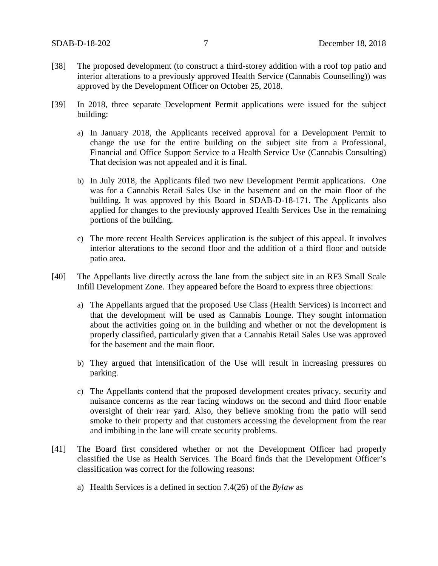- [38] The proposed development (to construct a third-storey addition with a roof top patio and interior alterations to a previously approved Health Service (Cannabis Counselling)) was approved by the Development Officer on October 25, 2018.
- [39] In 2018, three separate Development Permit applications were issued for the subject building:
	- a) In January 2018, the Applicants received approval for a Development Permit to change the use for the entire building on the subject site from a Professional, Financial and Office Support Service to a Health Service Use (Cannabis Consulting) That decision was not appealed and it is final.
	- b) In July 2018, the Applicants filed two new Development Permit applications. One was for a Cannabis Retail Sales Use in the basement and on the main floor of the building. It was approved by this Board in SDAB-D-18-171. The Applicants also applied for changes to the previously approved Health Services Use in the remaining portions of the building.
	- c) The more recent Health Services application is the subject of this appeal. It involves interior alterations to the second floor and the addition of a third floor and outside patio area.
- [40] The Appellants live directly across the lane from the subject site in an RF3 Small Scale Infill Development Zone. They appeared before the Board to express three objections:
	- a) The Appellants argued that the proposed Use Class (Health Services) is incorrect and that the development will be used as Cannabis Lounge. They sought information about the activities going on in the building and whether or not the development is properly classified, particularly given that a Cannabis Retail Sales Use was approved for the basement and the main floor.
	- b) They argued that intensification of the Use will result in increasing pressures on parking.
	- c) The Appellants contend that the proposed development creates privacy, security and nuisance concerns as the rear facing windows on the second and third floor enable oversight of their rear yard. Also, they believe smoking from the patio will send smoke to their property and that customers accessing the development from the rear and imbibing in the lane will create security problems.
- [41] The Board first considered whether or not the Development Officer had properly classified the Use as Health Services. The Board finds that the Development Officer's classification was correct for the following reasons:
	- a) Health Services is a defined in section 7.4(26) of the *Bylaw* as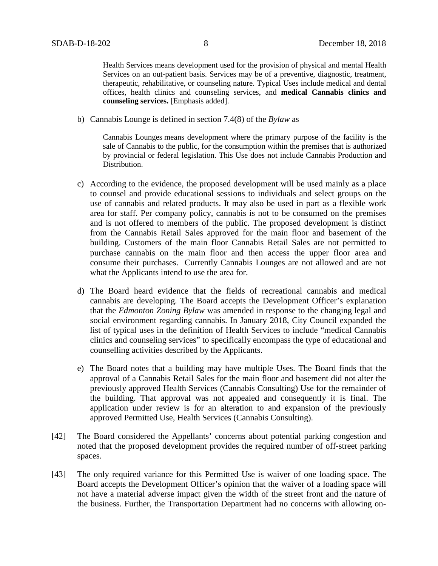Health Services means development used for the provision of physical and mental Health Services on an out-patient basis. Services may be of a preventive, diagnostic, treatment, therapeutic, rehabilitative, or counseling nature. Typical Uses include medical and dental offices, health clinics and counseling services, and **medical Cannabis clinics and counseling services.** [Emphasis added].

b) Cannabis Lounge is defined in section 7.4(8) of the *Bylaw* as

Cannabis Lounges means development where the primary purpose of the facility is the sale of Cannabis to the public, for the consumption within the premises that is authorized by provincial or federal legislation. This Use does not include Cannabis Production and Distribution.

- c) According to the evidence, the proposed development will be used mainly as a place to counsel and provide educational sessions to individuals and select groups on the use of cannabis and related products. It may also be used in part as a flexible work area for staff. Per company policy, cannabis is not to be consumed on the premises and is not offered to members of the public. The proposed development is distinct from the Cannabis Retail Sales approved for the main floor and basement of the building. Customers of the main floor Cannabis Retail Sales are not permitted to purchase cannabis on the main floor and then access the upper floor area and consume their purchases. Currently Cannabis Lounges are not allowed and are not what the Applicants intend to use the area for.
- d) The Board heard evidence that the fields of recreational cannabis and medical cannabis are developing. The Board accepts the Development Officer's explanation that the *Edmonton Zoning Bylaw* was amended in response to the changing legal and social environment regarding cannabis. In January 2018, City Council expanded the list of typical uses in the definition of Health Services to include "medical Cannabis clinics and counseling services" to specifically encompass the type of educational and counselling activities described by the Applicants.
- e) The Board notes that a building may have multiple Uses. The Board finds that the approval of a Cannabis Retail Sales for the main floor and basement did not alter the previously approved Health Services (Cannabis Consulting) Use for the remainder of the building. That approval was not appealed and consequently it is final. The application under review is for an alteration to and expansion of the previously approved Permitted Use, Health Services (Cannabis Consulting).
- [42] The Board considered the Appellants' concerns about potential parking congestion and noted that the proposed development provides the required number of off-street parking spaces.
- [43] The only required variance for this Permitted Use is waiver of one loading space. The Board accepts the Development Officer's opinion that the waiver of a loading space will not have a material adverse impact given the width of the street front and the nature of the business. Further, the Transportation Department had no concerns with allowing on-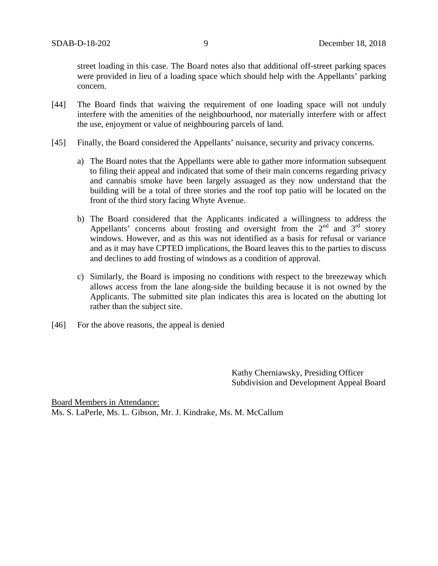street loading in this case. The Board notes also that additional off-street parking spaces were provided in lieu of a loading space which should help with the Appellants' parking concern.

- [44] The Board finds that waiving the requirement of one loading space will not unduly interfere with the amenities of the neighbourhood, nor materially interfere with or affect the use, enjoyment or value of neighbouring parcels of land.
- [45] Finally, the Board considered the Appellants' nuisance, security and privacy concerns.
	- a) The Board notes that the Appellants were able to gather more information subsequent to filing their appeal and indicated that some of their main concerns regarding privacy and cannabis smoke have been largely assuaged as they now understand that the building will be a total of three stories and the roof top patio will be located on the front of the third story facing Whyte Avenue.
	- b) The Board considered that the Applicants indicated a willingness to address the Appellants' concerns about frosting and oversight from the  $2<sup>nd</sup>$  and  $3<sup>rd</sup>$  storey windows. However, and as this was not identified as a basis for refusal or variance and as it may have CPTED implications, the Board leaves this to the parties to discuss and declines to add frosting of windows as a condition of approval.
	- c) Similarly, the Board is imposing no conditions with respect to the breezeway which allows access from the lane along-side the building because it is not owned by the Applicants. The submitted site plan indicates this area is located on the abutting lot rather than the subject site.
- [46] For the above reasons, the appeal is denied

Kathy Cherniawsky, Presiding Officer Subdivision and Development Appeal Board

Board Members in Attendance: Ms. S. LaPerle, Ms. L. Gibson, Mr. J. Kindrake, Ms. M. McCallum